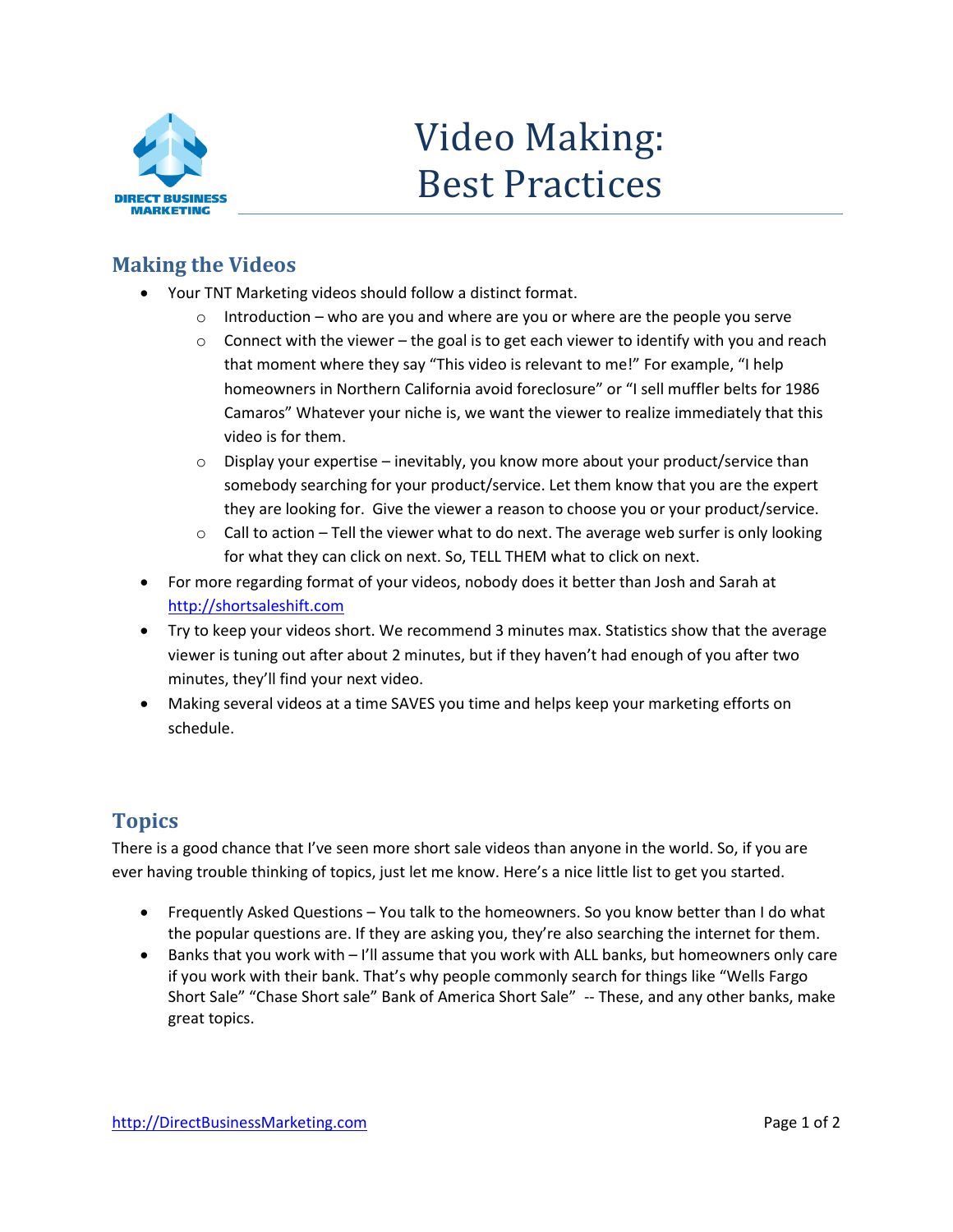

## Video Making: Best Practices

## **Making the Videos**

- Your TNT Marketing videos should follow a distinct format.
	- $\circ$  Introduction who are you and where are you or where are the people you serve
	- $\circ$  Connect with the viewer the goal is to get each viewer to identify with you and reach that moment where they say "This video is relevant to me!" For example, "I help homeowners in Northern California avoid foreclosure" or "I sell muffler belts for 1986 Camaros" Whatever your niche is, we want the viewer to realize immediately that this video is for them.
	- $\circ$  Display your expertise inevitably, you know more about your product/service than somebody searching for your product/service. Let them know that you are the expert they are looking for. Give the viewer a reason to choose you or your product/service.
	- $\circ$  Call to action Tell the viewer what to do next. The average web surfer is only looking for what they can click on next. So, TELL THEM what to click on next.
- For more regarding format of your videos, nobody does it better than Josh and Sarah at [http://shortsaleshift.com](http://shortsaleshift.com/)
- Try to keep your videos short. We recommend 3 minutes max. Statistics show that the average viewer is tuning out after about 2 minutes, but if they haven't had enough of you after two minutes, they'll find your next video.
- Making several videos at a time SAVES you time and helps keep your marketing efforts on schedule.

## **Topics**

There is a good chance that I've seen more short sale videos than anyone in the world. So, if you are ever having trouble thinking of topics, just let me know. Here's a nice little list to get you started.

- Frequently Asked Questions You talk to the homeowners. So you know better than I do what the popular questions are. If they are asking you, they're also searching the internet for them.
- Banks that you work with I'll assume that you work with ALL banks, but homeowners only care if you work with their bank. That's why people commonly search for things like "Wells Fargo Short Sale" "Chase Short sale" Bank of America Short Sale" -- These, and any other banks, make great topics.